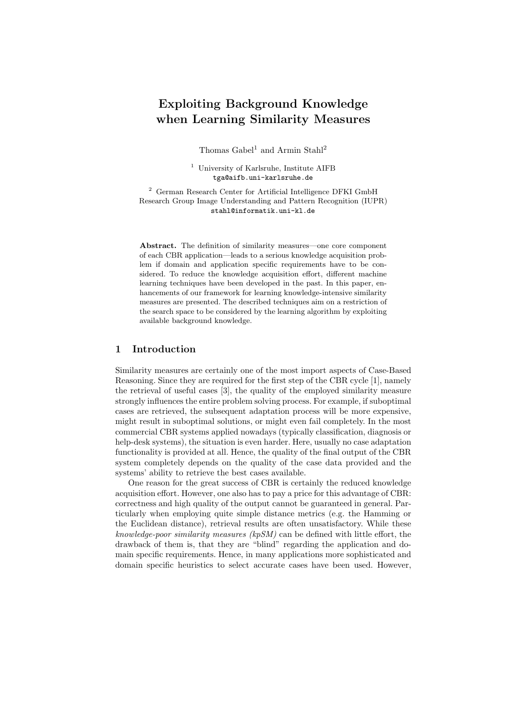# Exploiting Background Knowledge when Learning Similarity Measures

Thomas Gabel<sup>1</sup> and Armin Stahl<sup>2</sup>

<sup>1</sup> University of Karlsruhe, Institute AIFB tga@aifb.uni-karlsruhe.de

<sup>2</sup> German Research Center for Artificial Intelligence DFKI GmbH Research Group Image Understanding and Pattern Recognition (IUPR) stahl@informatik.uni-kl.de

Abstract. The definition of similarity measures—one core component of each CBR application—leads to a serious knowledge acquisition problem if domain and application specific requirements have to be considered. To reduce the knowledge acquisition effort, different machine learning techniques have been developed in the past. In this paper, enhancements of our framework for learning knowledge-intensive similarity measures are presented. The described techniques aim on a restriction of the search space to be considered by the learning algorithm by exploiting available background knowledge.

## 1 Introduction

Similarity measures are certainly one of the most import aspects of Case-Based Reasoning. Since they are required for the first step of the CBR cycle [1], namely the retrieval of useful cases [3], the quality of the employed similarity measure strongly influences the entire problem solving process. For example, if suboptimal cases are retrieved, the subsequent adaptation process will be more expensive, might result in suboptimal solutions, or might even fail completely. In the most commercial CBR systems applied nowadays (typically classification, diagnosis or help-desk systems), the situation is even harder. Here, usually no case adaptation functionality is provided at all. Hence, the quality of the final output of the CBR system completely depends on the quality of the case data provided and the systems' ability to retrieve the best cases available.

One reason for the great success of CBR is certainly the reduced knowledge acquisition effort. However, one also has to pay a price for this advantage of CBR: correctness and high quality of the output cannot be guaranteed in general. Particularly when employing quite simple distance metrics (e.g. the Hamming or the Euclidean distance), retrieval results are often unsatisfactory. While these knowledge-poor similarity measures (kpSM) can be defined with little effort, the drawback of them is, that they are "blind" regarding the application and domain specific requirements. Hence, in many applications more sophisticated and domain specific heuristics to select accurate cases have been used. However,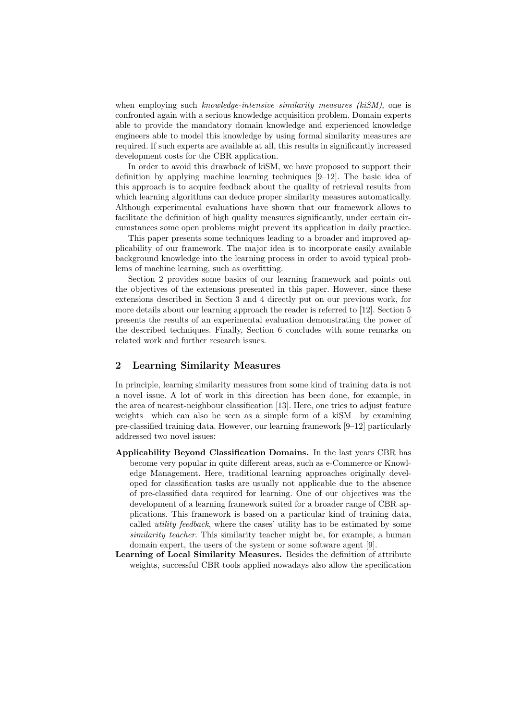when employing such knowledge-intensive similarity measures (kiSM), one is confronted again with a serious knowledge acquisition problem. Domain experts able to provide the mandatory domain knowledge and experienced knowledge engineers able to model this knowledge by using formal similarity measures are required. If such experts are available at all, this results in significantly increased development costs for the CBR application.

In order to avoid this drawback of kiSM, we have proposed to support their definition by applying machine learning techniques [9–12]. The basic idea of this approach is to acquire feedback about the quality of retrieval results from which learning algorithms can deduce proper similarity measures automatically. Although experimental evaluations have shown that our framework allows to facilitate the definition of high quality measures significantly, under certain circumstances some open problems might prevent its application in daily practice.

This paper presents some techniques leading to a broader and improved applicability of our framework. The major idea is to incorporate easily available background knowledge into the learning process in order to avoid typical problems of machine learning, such as overfitting.

Section 2 provides some basics of our learning framework and points out the objectives of the extensions presented in this paper. However, since these extensions described in Section 3 and 4 directly put on our previous work, for more details about our learning approach the reader is referred to [12]. Section 5 presents the results of an experimental evaluation demonstrating the power of the described techniques. Finally, Section 6 concludes with some remarks on related work and further research issues.

## 2 Learning Similarity Measures

In principle, learning similarity measures from some kind of training data is not a novel issue. A lot of work in this direction has been done, for example, in the area of nearest-neighbour classification [13]. Here, one tries to adjust feature weights—which can also be seen as a simple form of a kiSM—by examining pre-classified training data. However, our learning framework [9–12] particularly addressed two novel issues:

- Applicability Beyond Classification Domains. In the last years CBR has become very popular in quite different areas, such as e-Commerce or Knowledge Management. Here, traditional learning approaches originally developed for classification tasks are usually not applicable due to the absence of pre-classified data required for learning. One of our objectives was the development of a learning framework suited for a broader range of CBR applications. This framework is based on a particular kind of training data, called utility feedback, where the cases' utility has to be estimated by some similarity teacher. This similarity teacher might be, for example, a human domain expert, the users of the system or some software agent [9].
- Learning of Local Similarity Measures. Besides the definition of attribute weights, successful CBR tools applied nowadays also allow the specification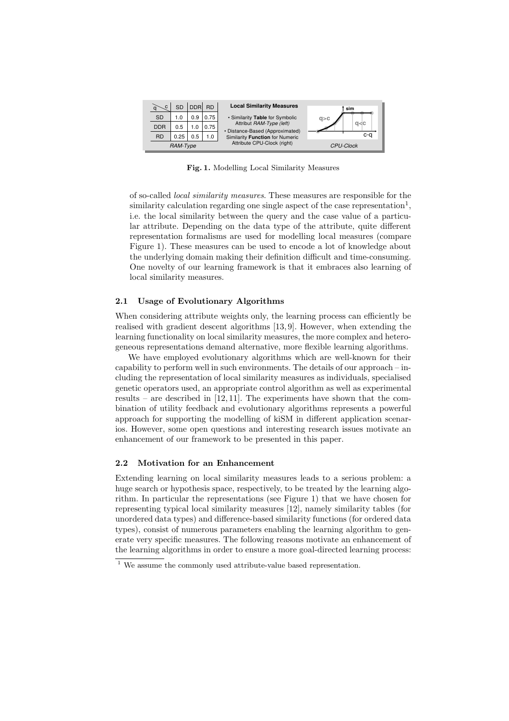

Fig. 1. Modelling Local Similarity Measures

of so-called local similarity measures. These measures are responsible for the similarity calculation regarding one single aspect of the case representation<sup>1</sup>, i.e. the local similarity between the query and the case value of a particular attribute. Depending on the data type of the attribute, quite different representation formalisms are used for modelling local measures (compare Figure 1). These measures can be used to encode a lot of knowledge about the underlying domain making their definition difficult and time-consuming. One novelty of our learning framework is that it embraces also learning of local similarity measures.

## 2.1 Usage of Evolutionary Algorithms

When considering attribute weights only, the learning process can efficiently be realised with gradient descent algorithms [13, 9]. However, when extending the learning functionality on local similarity measures, the more complex and heterogeneous representations demand alternative, more flexible learning algorithms.

We have employed evolutionary algorithms which are well-known for their capability to perform well in such environments. The details of our approach – including the representation of local similarity measures as individuals, specialised genetic operators used, an appropriate control algorithm as well as experimental results – are described in [12, 11]. The experiments have shown that the combination of utility feedback and evolutionary algorithms represents a powerful approach for supporting the modelling of kiSM in different application scenarios. However, some open questions and interesting research issues motivate an enhancement of our framework to be presented in this paper.

### 2.2 Motivation for an Enhancement

Extending learning on local similarity measures leads to a serious problem: a huge search or hypothesis space, respectively, to be treated by the learning algorithm. In particular the representations (see Figure 1) that we have chosen for representing typical local similarity measures [12], namely similarity tables (for unordered data types) and difference-based similarity functions (for ordered data types), consist of numerous parameters enabling the learning algorithm to generate very specific measures. The following reasons motivate an enhancement of the learning algorithms in order to ensure a more goal-directed learning process:

 $1$  We assume the commonly used attribute-value based representation.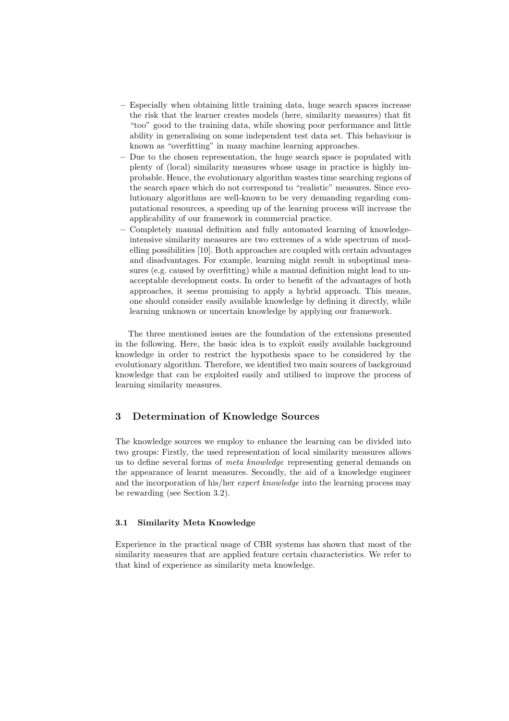- Especially when obtaining little training data, huge search spaces increase the risk that the learner creates models (here, similarity measures) that fit "too" good to the training data, while showing poor performance and little ability in generalising on some independent test data set. This behaviour is known as "overfitting" in many machine learning approaches.
- Due to the chosen representation, the huge search space is populated with plenty of (local) similarity measures whose usage in practice is highly improbable. Hence, the evolutionary algorithm wastes time searching regions of the search space which do not correspond to "realistic" measures. Since evolutionary algorithms are well-known to be very demanding regarding computational resources, a speeding up of the learning process will increase the applicability of our framework in commercial practice.
- Completely manual definition and fully automated learning of knowledgeintensive similarity measures are two extremes of a wide spectrum of modelling possibilities [10]. Both approaches are coupled with certain advantages and disadvantages. For example, learning might result in suboptimal measures (e.g. caused by overfitting) while a manual definition might lead to unacceptable development costs. In order to benefit of the advantages of both approaches, it seems promising to apply a hybrid approach. This means, one should consider easily available knowledge by defining it directly, while learning unknown or uncertain knowledge by applying our framework.

The three mentioned issues are the foundation of the extensions presented in the following. Here, the basic idea is to exploit easily available background knowledge in order to restrict the hypothesis space to be considered by the evolutionary algorithm. Therefore, we identified two main sources of background knowledge that can be exploited easily and utilised to improve the process of learning similarity measures.

# 3 Determination of Knowledge Sources

The knowledge sources we employ to enhance the learning can be divided into two groups: Firstly, the used representation of local similarity measures allows us to define several forms of meta knowledge representing general demands on the appearance of learnt measures. Secondly, the aid of a knowledge engineer and the incorporation of his/her *expert knowledge* into the learning process may be rewarding (see Section 3.2).

#### 3.1 Similarity Meta Knowledge

Experience in the practical usage of CBR systems has shown that most of the similarity measures that are applied feature certain characteristics. We refer to that kind of experience as similarity meta knowledge.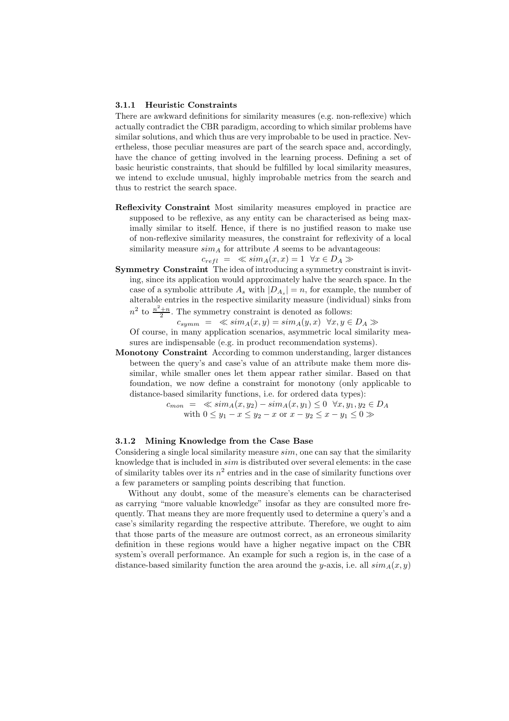#### 3.1.1 Heuristic Constraints

There are awkward definitions for similarity measures (e.g. non-reflexive) which actually contradict the CBR paradigm, according to which similar problems have similar solutions, and which thus are very improbable to be used in practice. Nevertheless, those peculiar measures are part of the search space and, accordingly, have the chance of getting involved in the learning process. Defining a set of basic heuristic constraints, that should be fulfilled by local similarity measures, we intend to exclude unusual, highly improbable metrics from the search and thus to restrict the search space.

Reflexivity Constraint Most similarity measures employed in practice are supposed to be reflexive, as any entity can be characterised as being maximally similar to itself. Hence, if there is no justified reason to make use of non-reflexive similarity measures, the constraint for reflexivity of a local similarity measure  $sim_A$  for attribute  $A$  seems to be advantageous:

 $c_{refl} = \ll sim_A(x, x) = 1 \ \forall x \in D_A \gg$ 

Symmetry Constraint The idea of introducing a symmetry constraint is inviting, since its application would approximately halve the search space. In the case of a symbolic attribute  $A_s$  with  $|D_{A_s}| = n$ , for example, the number of alterable entries in the respective similarity measure (individual) sinks from  $n^2$  to  $\frac{n^2+n}{2}$ . The symmetry constraint is denoted as follows:

 $c_{symm} = \langle \langle \sin A(x, y) \rangle = \langle \sin A(y, x) \rangle \rangle \forall x, y \in D_A \rangle$ 

Of course, in many application scenarios, asymmetric local similarity measures are indispensable (e.g. in product recommendation systems).

Monotony Constraint According to common understanding, larger distances between the query's and case's value of an attribute make them more dissimilar, while smaller ones let them appear rather similar. Based on that foundation, we now define a constraint for monotony (only applicable to distance-based similarity functions, i.e. for ordered data types):

$$
c_{mon} = \langle \langle \sin A(x, y_2) - \sin A(x, y_1) \rangle \le 0 \quad \forall x, y_1, y_2 \in D_A
$$
  
with  $0 \le y_1 - x \le y_2 - x$  or  $x - y_2 \le x - y_1 \le 0 \rangle \rangle$ 

### 3.1.2 Mining Knowledge from the Case Base

Considering a single local similarity measure  $sim$ , one can say that the similarity knowledge that is included in  $sim$  is distributed over several elements: in the case of similarity tables over its  $n^2$  entries and in the case of similarity functions over a few parameters or sampling points describing that function.

Without any doubt, some of the measure's elements can be characterised as carrying "more valuable knowledge" insofar as they are consulted more frequently. That means they are more frequently used to determine a query's and a case's similarity regarding the respective attribute. Therefore, we ought to aim that those parts of the measure are outmost correct, as an erroneous similarity definition in these regions would have a higher negative impact on the CBR system's overall performance. An example for such a region is, in the case of a distance-based similarity function the area around the y-axis, i.e. all  $\sin A(x, y)$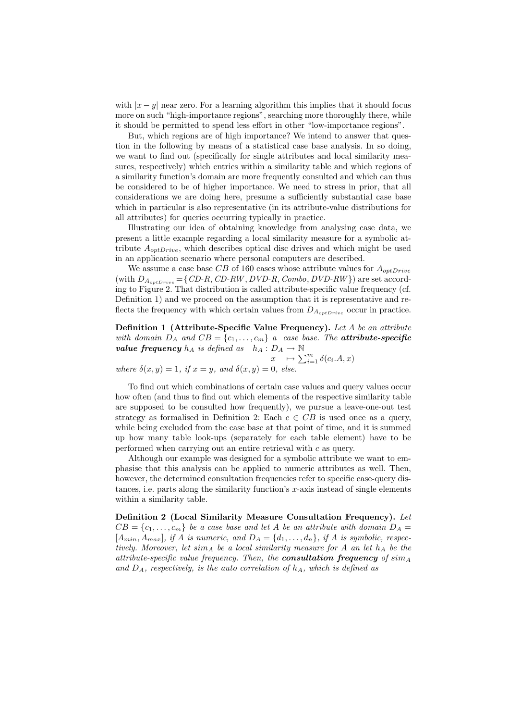with  $|x - y|$  near zero. For a learning algorithm this implies that it should focus more on such "high-importance regions", searching more thoroughly there, while it should be permitted to spend less effort in other "low-importance regions".

But, which regions are of high importance? We intend to answer that question in the following by means of a statistical case base analysis. In so doing, we want to find out (specifically for single attributes and local similarity measures, respectively) which entries within a similarity table and which regions of a similarity function's domain are more frequently consulted and which can thus be considered to be of higher importance. We need to stress in prior, that all considerations we are doing here, presume a sufficiently substantial case base which in particular is also representative (in its attribute-value distributions for all attributes) for queries occurring typically in practice.

Illustrating our idea of obtaining knowledge from analysing case data, we present a little example regarding a local similarity measure for a symbolic attribute  $A_{optDirive}$ , which describes optical disc drives and which might be used in an application scenario where personal computers are described.

We assume a case base CB of 160 cases whose attribute values for  $A_{\text{opt}Drive}$ (with  $D_{A_{\text{outDrive}}} = \{ CD-R, CD-RW, DVD-R, Combo, DVD-RW \}$ ) are set according to Figure 2. That distribution is called attribute-specific value frequency (cf. Definition 1) and we proceed on the assumption that it is representative and reflects the frequency with which certain values from  $D_{A_{\text{entDrive}}}$  occur in practice.

Definition 1 (Attribute-Specific Value Frequency). Let A be an attribute with domain  $D_A$  and  $CB = \{c_1, \ldots, c_m\}$  a case base. The **attribute-specific** value frequency  $h_A$  is defined as  $h_A: D_A \to \mathbb{N}$ 

 $x \mapsto \sum_{i=1}^m \delta(c_i.A, x)$ where  $\delta(x, y) = 1$ , if  $x = y$ , and  $\delta(x, y) = 0$ , else.

To find out which combinations of certain case values and query values occur how often (and thus to find out which elements of the respective similarity table are supposed to be consulted how frequently), we pursue a leave-one-out test strategy as formalised in Definition 2: Each  $c \in CB$  is used once as a query, while being excluded from the case base at that point of time, and it is summed up how many table look-ups (separately for each table element) have to be performed when carrying out an entire retrieval with c as query.

Although our example was designed for a symbolic attribute we want to emphasise that this analysis can be applied to numeric attributes as well. Then, however, the determined consultation frequencies refer to specific case-query distances, i.e. parts along the similarity function's x-axis instead of single elements within a similarity table.

Definition 2 (Local Similarity Measure Consultation Frequency). Let  $CB = \{c_1, \ldots, c_m\}$  be a case base and let A be an attribute with domain  $D_A =$  $[A_{min}, A_{max}]$ , if A is numeric, and  $D_A = \{d_1, \ldots, d_n\}$ , if A is symbolic, respectively. Moreover, let sim<sub>A</sub> be a local similarity measure for A an let  $h_A$  be the attribute-specific value frequency. Then, the **consultation frequency** of  $\sin A$ and  $D_A$ , respectively, is the auto correlation of  $h_A$ , which is defined as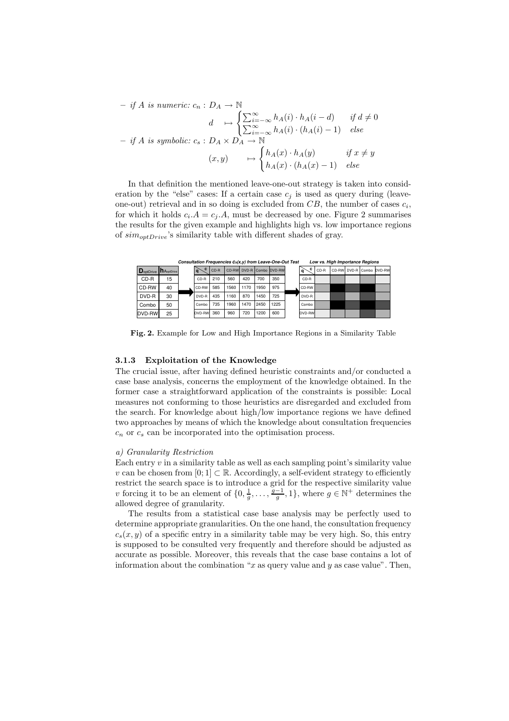– if A is numeric:  $c_n : D_A \to \mathbb{N}$  $d \mapsto \begin{cases} \sum_{i=-\infty}^{\infty} h_A(i) \cdot h_A(i-d) & \text{if } d \neq 0 \end{cases}$  $\sum_{i=-\infty}^{\infty} h_A(i) \cdot (h_A(i) - 1)$  else  $-$  if A is symbolic:  $c_s : D_A \times D_A \rightarrow \mathbb{N}$  $(x, y) \longrightarrow$  $\int h_A(x) \cdot h_A(y)$  if  $x \neq y$  $h_A(x) \cdot (h_A(x) - 1)$  else

In that definition the mentioned leave-one-out strategy is taken into consideration by the "else" cases: If a certain case  $c_j$  is used as query during (leaveone-out) retrieval and in so doing is excluded from  $CB$ , the number of cases  $c_i$ , for which it holds  $c_i.A = c_j.A$ , must be decreased by one. Figure 2 summarises the results for the given example and highlights high vs. low importance regions of  $sim_{\text{orb} \rightarrow \text{rive}}$ 's similarity table with different shades of gray.

| Consultation Frequencies Cs(x,y) from Leave-One-Out Test |                    |  |          |      |       |      | Low vs. High Importance Regions |                    |  |        |      |  |  |  |                          |
|----------------------------------------------------------|--------------------|--|----------|------|-------|------|---------------------------------|--------------------|--|--------|------|--|--|--|--------------------------|
| <b>D</b> optDrive                                        | <b>NA</b> optDrive |  | c        | CD-R | CD-RW |      |                                 | DVD-R Combo DVD-RW |  | c      | CD-R |  |  |  | CD-RW DVD-R Combo DVD-RW |
| CD-R                                                     | 15                 |  | $CD - R$ | 210  | 560   | 420  | 700                             | 350                |  | CD-R   |      |  |  |  |                          |
| CD-RW                                                    | 40                 |  | CD-RW    | 585  | 1560  | 1170 | 1950                            | 975                |  | CD-RW  |      |  |  |  |                          |
| DVD-R                                                    | 30                 |  | DVD-R    | 435  | 1160  | 870  | 1450                            | 725                |  | DVD-R  |      |  |  |  |                          |
| Combo                                                    | 50                 |  | Combo    | 735  | 1960  | 1470 | 2450                            | 1225               |  | Combo  |      |  |  |  |                          |
| DVD-RW                                                   | 25                 |  | DVD-RW   | 360  | 960   | 720  | 1200                            | 600                |  | DVD-RW |      |  |  |  |                          |

Fig. 2. Example for Low and High Importance Regions in a Similarity Table

#### 3.1.3 Exploitation of the Knowledge

The crucial issue, after having defined heuristic constraints and/or conducted a case base analysis, concerns the employment of the knowledge obtained. In the former case a straightforward application of the constraints is possible: Local measures not conforming to those heuristics are disregarded and excluded from the search. For knowledge about high/low importance regions we have defined two approaches by means of which the knowledge about consultation frequencies  $c_n$  or  $c_s$  can be incorporated into the optimisation process.

#### a) Granularity Restriction

Each entry  $v$  in a similarity table as well as each sampling point's similarity value v can be chosen from [0; 1]  $\subset \mathbb{R}$ . Accordingly, a self-evident strategy to efficiently restrict the search space is to introduce a grid for the respective similarity value v forcing it to be an element of  $\{0, \frac{1}{g}, \ldots, \frac{g-1}{g}, 1\}$ , where  $g \in \mathbb{N}^+$  determines the allowed degree of granularity.

The results from a statistical case base analysis may be perfectly used to determine appropriate granularities. On the one hand, the consultation frequency  $c_s(x, y)$  of a specific entry in a similarity table may be very high. So, this entry is supposed to be consulted very frequently and therefore should be adjusted as accurate as possible. Moreover, this reveals that the case base contains a lot of information about the combination "x as query value and y as case value". Then,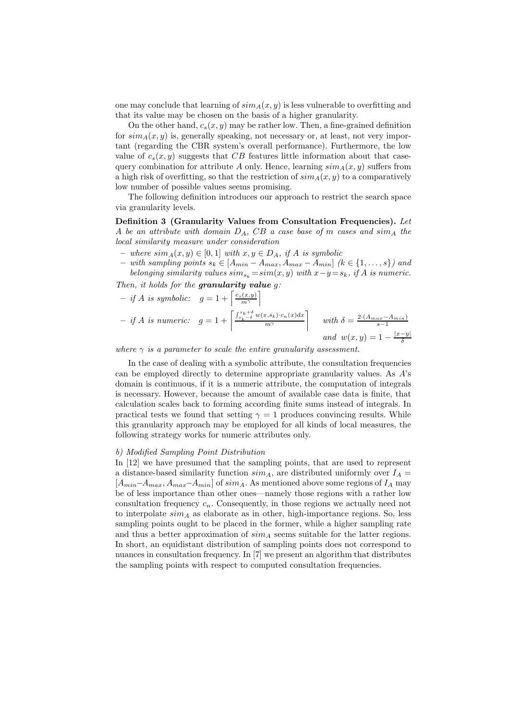one may conclude that learning of  $\sin A(x, y)$  is less vulnerable to overfitting and that its value may be chosen on the basis of a higher granularity.

On the other hand,  $c_s(x, y)$  may be rather low. Then, a fine-grained definition for  $sim_A(x, y)$  is, generally speaking, not necessary or, at least, not very important (regarding the CBR system's overall performance). Furthermore, the low value of  $c_s(x, y)$  suggests that CB features little information about that casequery combination for attribute A only. Hence, learning  $sim_A(x, y)$  suffers from a high risk of overfitting, so that the restriction of  $sim_A(x, y)$  to a comparatively low number of possible values seems promising.

The following definition introduces our approach to restrict the search space via granularity levels.

Definition 3 (Granularity Values from Consultation Frequencies). Let A be an attribute with domain  $D_A$ ,  $CB$  a case base of m cases and  $sim_A$  the local similarity measure under consideration

- where  $sim_A(x, y) \in [0, 1]$  with  $x, y \in D_A$ , if A is symbolic
- with sampling points  $s_k ∈ [A_{min} A_{max}, A_{max} A_{min}]$  (k ∈ {1,...,s}) and belonging similarity values  $sim_{s_k} = sim(x, y)$  with  $x - y = s_k$ , if A is numeric.

Then, it holds for the granularity value  $g$ :

$$
- if A is symbolic: \quad g = 1 + \left\lceil \frac{c_s(x,y)}{m^{\gamma}} \right\rceil
$$
  
- if A is numeric: \quad  $g = 1 + \left\lceil \frac{\int_{s_k - \delta}^{s_k + \delta} w(x, s_k) \cdot c_n(x) dx}{m^{\gamma}} \right\rceil$  with  $\delta = \frac{2 \cdot (A_{max} - A_{min})}{s - 1}$   
and  $w(x, y) = 1 - \frac{|x - y|}{\delta}$ 

where  $\gamma$  is a parameter to scale the entire granularity assessment.

In the case of dealing with a symbolic attribute, the consultation frequencies can be employed directly to determine appropriate granularity values. As A's domain is continuous, if it is a numeric attribute, the computation of integrals is necessary. However, because the amount of available case data is finite, that calculation scales back to forming according finite sums instead of integrals. In practical tests we found that setting  $\gamma = 1$  produces convincing results. While this granularity approach may be employed for all kinds of local measures, the following strategy works for numeric attributes only.

#### b) Modified Sampling Point Distribution

In [12] we have presumed that the sampling points, that are used to represent a distance-based similarity function  $sim_A$ , are distributed uniformly over  $I_A$  $[A_{min}-A_{max}, A_{max}-A_{min}]$  of  $sim_A$ . As mentioned above some regions of  $I_A$  may be of less importance than other ones—namely those regions with a rather low consultation frequency  $c_n$ . Consequently, in those regions we actually need not to interpolate  $sim_A$  as elaborate as in other, high-importance regions. So, less sampling points ought to be placed in the former, while a higher sampling rate and thus a better approximation of  $sim_A$  seems suitable for the latter regions. In short, an equidistant distribution of sampling points does not correspond to nuances in consultation frequency. In [7] we present an algorithm that distributes the sampling points with respect to computed consultation frequencies.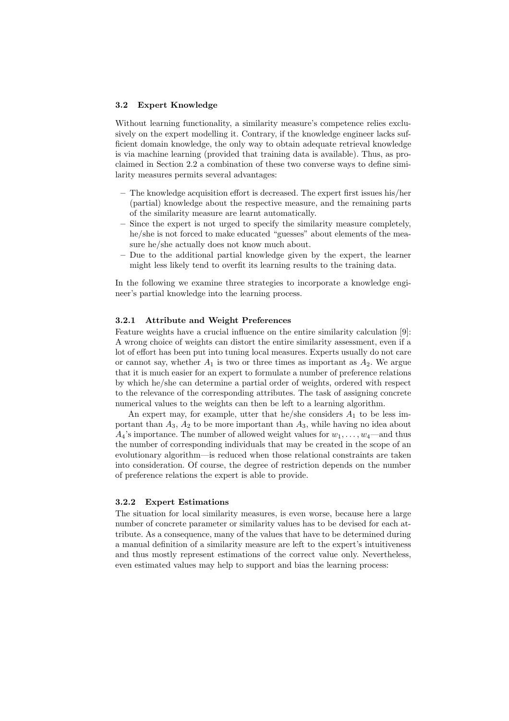#### 3.2 Expert Knowledge

Without learning functionality, a similarity measure's competence relies exclusively on the expert modelling it. Contrary, if the knowledge engineer lacks sufficient domain knowledge, the only way to obtain adequate retrieval knowledge is via machine learning (provided that training data is available). Thus, as proclaimed in Section 2.2 a combination of these two converse ways to define similarity measures permits several advantages:

- The knowledge acquisition effort is decreased. The expert first issues his/her (partial) knowledge about the respective measure, and the remaining parts of the similarity measure are learnt automatically.
- Since the expert is not urged to specify the similarity measure completely, he/she is not forced to make educated "guesses" about elements of the measure he/she actually does not know much about.
- Due to the additional partial knowledge given by the expert, the learner might less likely tend to overfit its learning results to the training data.

In the following we examine three strategies to incorporate a knowledge engineer's partial knowledge into the learning process.

## 3.2.1 Attribute and Weight Preferences

Feature weights have a crucial influence on the entire similarity calculation [9]: A wrong choice of weights can distort the entire similarity assessment, even if a lot of effort has been put into tuning local measures. Experts usually do not care or cannot say, whether  $A_1$  is two or three times as important as  $A_2$ . We argue that it is much easier for an expert to formulate a number of preference relations by which he/she can determine a partial order of weights, ordered with respect to the relevance of the corresponding attributes. The task of assigning concrete numerical values to the weights can then be left to a learning algorithm.

An expert may, for example, utter that he/she considers  $A_1$  to be less important than  $A_3$ ,  $A_2$  to be more important than  $A_3$ , while having no idea about  $A_4$ 's importance. The number of allowed weight values for  $w_1, \ldots, w_4$ —and thus the number of corresponding individuals that may be created in the scope of an evolutionary algorithm—is reduced when those relational constraints are taken into consideration. Of course, the degree of restriction depends on the number of preference relations the expert is able to provide.

#### 3.2.2 Expert Estimations

The situation for local similarity measures, is even worse, because here a large number of concrete parameter or similarity values has to be devised for each attribute. As a consequence, many of the values that have to be determined during a manual definition of a similarity measure are left to the expert's intuitiveness and thus mostly represent estimations of the correct value only. Nevertheless, even estimated values may help to support and bias the learning process: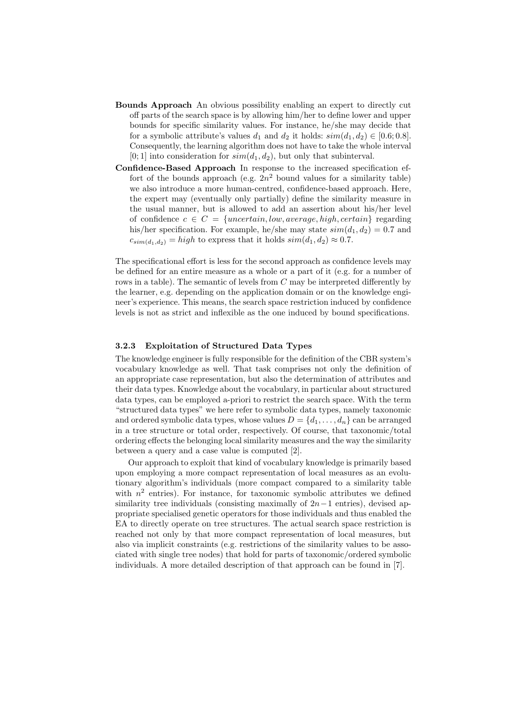- Bounds Approach An obvious possibility enabling an expert to directly cut off parts of the search space is by allowing him/her to define lower and upper bounds for specific similarity values. For instance, he/she may decide that for a symbolic attribute's values  $d_1$  and  $d_2$  it holds:  $sim(d_1, d_2) \in [0.6; 0.8]$ . Consequently, the learning algorithm does not have to take the whole interval  $[0; 1]$  into consideration for  $sim(d_1, d_2)$ , but only that subinterval.
- Confidence-Based Approach In response to the increased specification effort of the bounds approach (e.g.  $2n^2$  bound values for a similarity table) we also introduce a more human-centred, confidence-based approach. Here, the expert may (eventually only partially) define the similarity measure in the usual manner, but is allowed to add an assertion about his/her level of confidence  $c \in C = \{uncertain, low, average, high, certain\}$  regarding his/her specification. For example, he/she may state  $sim(d_1, d_2) = 0.7$  and  $c_{sim(d_1,d_2)} = high$  to express that it holds  $sim(d_1, d_2) \approx 0.7$ .

The specificational effort is less for the second approach as confidence levels may be defined for an entire measure as a whole or a part of it (e.g. for a number of rows in a table). The semantic of levels from C may be interpreted differently by the learner, e.g. depending on the application domain or on the knowledge engineer's experience. This means, the search space restriction induced by confidence levels is not as strict and inflexible as the one induced by bound specifications.

#### 3.2.3 Exploitation of Structured Data Types

The knowledge engineer is fully responsible for the definition of the CBR system's vocabulary knowledge as well. That task comprises not only the definition of an appropriate case representation, but also the determination of attributes and their data types. Knowledge about the vocabulary, in particular about structured data types, can be employed a-priori to restrict the search space. With the term "structured data types" we here refer to symbolic data types, namely taxonomic and ordered symbolic data types, whose values  $D = \{d_1, \ldots, d_n\}$  can be arranged in a tree structure or total order, respectively. Of course, that taxonomic/total ordering effects the belonging local similarity measures and the way the similarity between a query and a case value is computed [2].

Our approach to exploit that kind of vocabulary knowledge is primarily based upon employing a more compact representation of local measures as an evolutionary algorithm's individuals (more compact compared to a similarity table with  $n^2$  entries). For instance, for taxonomic symbolic attributes we defined similarity tree individuals (consisting maximally of  $2n-1$  entries), devised appropriate specialised genetic operators for those individuals and thus enabled the EA to directly operate on tree structures. The actual search space restriction is reached not only by that more compact representation of local measures, but also via implicit constraints (e.g. restrictions of the similarity values to be associated with single tree nodes) that hold for parts of taxonomic/ordered symbolic individuals. A more detailed description of that approach can be found in [7].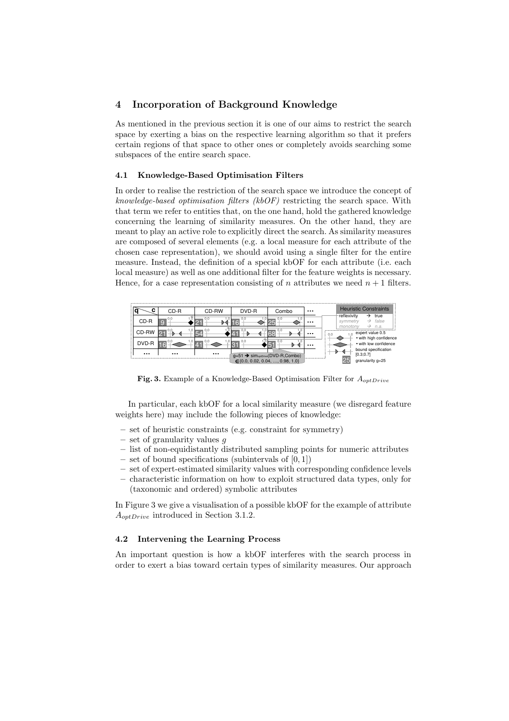## 4 Incorporation of Background Knowledge

As mentioned in the previous section it is one of our aims to restrict the search space by exerting a bias on the respective learning algorithm so that it prefers certain regions of that space to other ones or completely avoids searching some subspaces of the entire search space.

### 4.1 Knowledge-Based Optimisation Filters

In order to realise the restriction of the search space we introduce the concept of knowledge-based optimisation filters (kbOF) restricting the search space. With that term we refer to entities that, on the one hand, hold the gathered knowledge concerning the learning of similarity measures. On the other hand, they are meant to play an active role to explicitly direct the search. As similarity measures are composed of several elements (e.g. a local measure for each attribute of the chosen case representation), we should avoid using a single filter for the entire measure. Instead, the definition of a special kbOF for each attribute (i.e. each local measure) as well as one additional filter for the feature weights is necessary. Hence, for a case representation consisting of n attributes we need  $n + 1$  filters.



Fig. 3. Example of a Knowledge-Based Optimisation Filter for  $A_{optDirive}$ 

In particular, each kbOF for a local similarity measure (we disregard feature weights here) may include the following pieces of knowledge:

- set of heuristic constraints (e.g. constraint for symmetry)
- set of granularity values  $q$
- list of non-equidistantly distributed sampling points for numeric attributes
- set of bound specifications (subintervals of  $[0, 1]$ )
- set of expert-estimated similarity values with corresponding confidence levels
- characteristic information on how to exploit structured data types, only for (taxonomic and ordered) symbolic attributes

In Figure 3 we give a visualisation of a possible kbOF for the example of attribute  $A_{optDrive}$  introduced in Section 3.1.2.

## 4.2 Intervening the Learning Process

An important question is how a kbOF interferes with the search process in order to exert a bias toward certain types of similarity measures. Our approach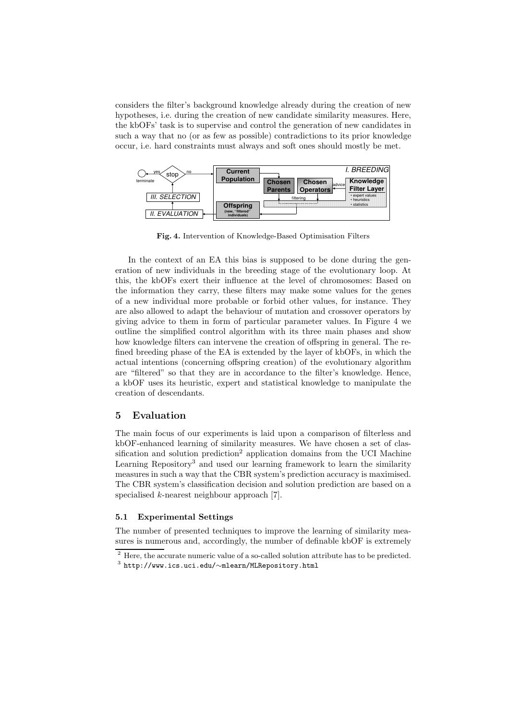considers the filter's background knowledge already during the creation of new hypotheses, i.e. during the creation of new candidate similarity measures. Here, the kbOFs' task is to supervise and control the generation of new candidates in such a way that no (or as few as possible) contradictions to its prior knowledge occur, i.e. hard constraints must always and soft ones should mostly be met.



Fig. 4. Intervention of Knowledge-Based Optimisation Filters

In the context of an EA this bias is supposed to be done during the generation of new individuals in the breeding stage of the evolutionary loop. At this, the kbOFs exert their influence at the level of chromosomes: Based on the information they carry, these filters may make some values for the genes of a new individual more probable or forbid other values, for instance. They are also allowed to adapt the behaviour of mutation and crossover operators by giving advice to them in form of particular parameter values. In Figure 4 we outline the simplified control algorithm with its three main phases and show how knowledge filters can intervene the creation of offspring in general. The refined breeding phase of the EA is extended by the layer of kbOFs, in which the actual intentions (concerning offspring creation) of the evolutionary algorithm are "filtered" so that they are in accordance to the filter's knowledge. Hence, a kbOF uses its heuristic, expert and statistical knowledge to manipulate the creation of descendants.

## 5 Evaluation

The main focus of our experiments is laid upon a comparison of filterless and kbOF-enhanced learning of similarity measures. We have chosen a set of classification and solution prediction<sup>2</sup> application domains from the UCI Machine Learning Repository<sup>3</sup> and used our learning framework to learn the similarity measures in such a way that the CBR system's prediction accuracy is maximised. The CBR system's classification decision and solution prediction are based on a specialised *k*-nearest neighbour approach [7].

### 5.1 Experimental Settings

The number of presented techniques to improve the learning of similarity measures is numerous and, accordingly, the number of definable kbOF is extremely

<sup>2</sup> Here, the accurate numeric value of a so-called solution attribute has to be predicted.

<sup>3</sup> http://www.ics.uci.edu/∼mlearn/MLRepository.html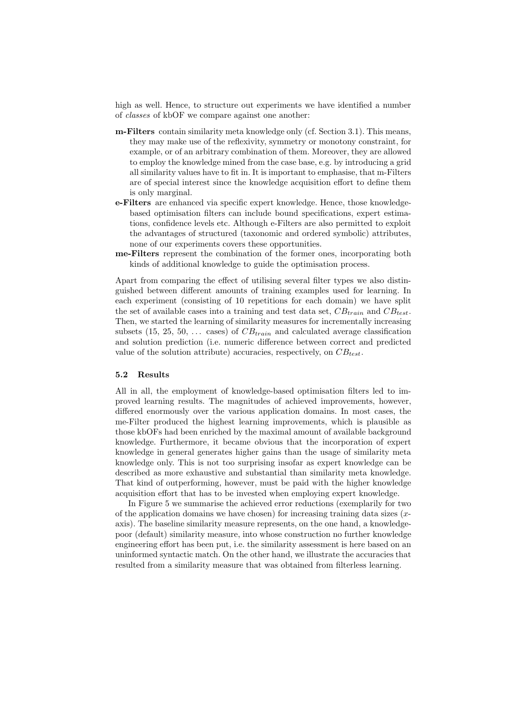high as well. Hence, to structure out experiments we have identified a number of classes of kbOF we compare against one another:

- m-Filters contain similarity meta knowledge only (cf. Section 3.1). This means, they may make use of the reflexivity, symmetry or monotony constraint, for example, or of an arbitrary combination of them. Moreover, they are allowed to employ the knowledge mined from the case base, e.g. by introducing a grid all similarity values have to fit in. It is important to emphasise, that m-Filters are of special interest since the knowledge acquisition effort to define them is only marginal.
- e-Filters are enhanced via specific expert knowledge. Hence, those knowledgebased optimisation filters can include bound specifications, expert estimations, confidence levels etc. Although e-Filters are also permitted to exploit the advantages of structured (taxonomic and ordered symbolic) attributes, none of our experiments covers these opportunities.
- me-Filters represent the combination of the former ones, incorporating both kinds of additional knowledge to guide the optimisation process.

Apart from comparing the effect of utilising several filter types we also distinguished between different amounts of training examples used for learning. In each experiment (consisting of 10 repetitions for each domain) we have split the set of available cases into a training and test data set,  $CB_{train}$  and  $CB_{test}$ . Then, we started the learning of similarity measures for incrementally increasing subsets (15, 25, 50, ... cases) of  $CB_{train}$  and calculated average classification and solution prediction (i.e. numeric difference between correct and predicted value of the solution attribute) accuracies, respectively, on  $CB_{test}$ .

#### 5.2 Results

All in all, the employment of knowledge-based optimisation filters led to improved learning results. The magnitudes of achieved improvements, however, differed enormously over the various application domains. In most cases, the me-Filter produced the highest learning improvements, which is plausible as those kbOFs had been enriched by the maximal amount of available background knowledge. Furthermore, it became obvious that the incorporation of expert knowledge in general generates higher gains than the usage of similarity meta knowledge only. This is not too surprising insofar as expert knowledge can be described as more exhaustive and substantial than similarity meta knowledge. That kind of outperforming, however, must be paid with the higher knowledge acquisition effort that has to be invested when employing expert knowledge.

In Figure 5 we summarise the achieved error reductions (exemplarily for two of the application domains we have chosen) for increasing training data sizes  $(x$ axis). The baseline similarity measure represents, on the one hand, a knowledgepoor (default) similarity measure, into whose construction no further knowledge engineering effort has been put, i.e. the similarity assessment is here based on an uninformed syntactic match. On the other hand, we illustrate the accuracies that resulted from a similarity measure that was obtained from filterless learning.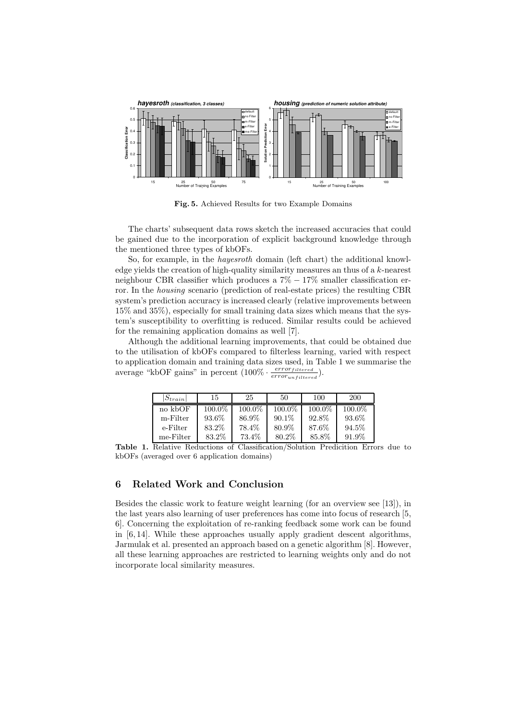

Fig. 5. Achieved Results for two Example Domains

The charts' subsequent data rows sketch the increased accuracies that could be gained due to the incorporation of explicit background knowledge through the mentioned three types of kbOFs.

So, for example, in the hayesroth domain (left chart) the additional knowledge yields the creation of high-quality similarity measures an thus of a k-nearest neighbour CBR classifier which produces a  $7\% - 17\%$  smaller classification error. In the housing scenario (prediction of real-estate prices) the resulting CBR system's prediction accuracy is increased clearly (relative improvements between 15% and 35%), especially for small training data sizes which means that the system's susceptibility to overfitting is reduced. Similar results could be achieved for the remaining application domains as well [7].

Although the additional learning improvements, that could be obtained due to the utilisation of kbOFs compared to filterless learning, varied with respect to application domain and training data sizes used, in Table 1 we summarise the average "kbOF gains" in percent  $(100\% \cdot \frac{error_{filtered}}{error\_error})$  $\frac{error_{filtered}}{error_{unfiltered}}).$ 

| $ S_{train} $ | 15        | 25        | 50       | 100    | <b>200</b> |
|---------------|-----------|-----------|----------|--------|------------|
| no kbOF       | $100.0\%$ | $100.0\%$ | 100.0%   | 100.0% | 100.0%     |
| m-Filter      | 93.6%     | 86.9%     | $90.1\%$ | 92.8%  | $93.6\%$   |
| e-Filter      | 83.2%     | 78.4%     | 80.9%    | 87.6%  | $94.5\%$   |
| me-Filter     | 83.2%     | 73.4%     | 80.2%    | 85.8%  | 91.9%      |

Table 1. Relative Reductions of Classification/Solution Predicition Errors due to kbOFs (averaged over 6 application domains)

# 6 Related Work and Conclusion

Besides the classic work to feature weight learning (for an overview see [13]), in the last years also learning of user preferences has come into focus of research [5, 6]. Concerning the exploitation of re-ranking feedback some work can be found in [6, 14]. While these approaches usually apply gradient descent algorithms, Jarmulak et al. presented an approach based on a genetic algorithm [8]. However, all these learning approaches are restricted to learning weights only and do not incorporate local similarity measures.